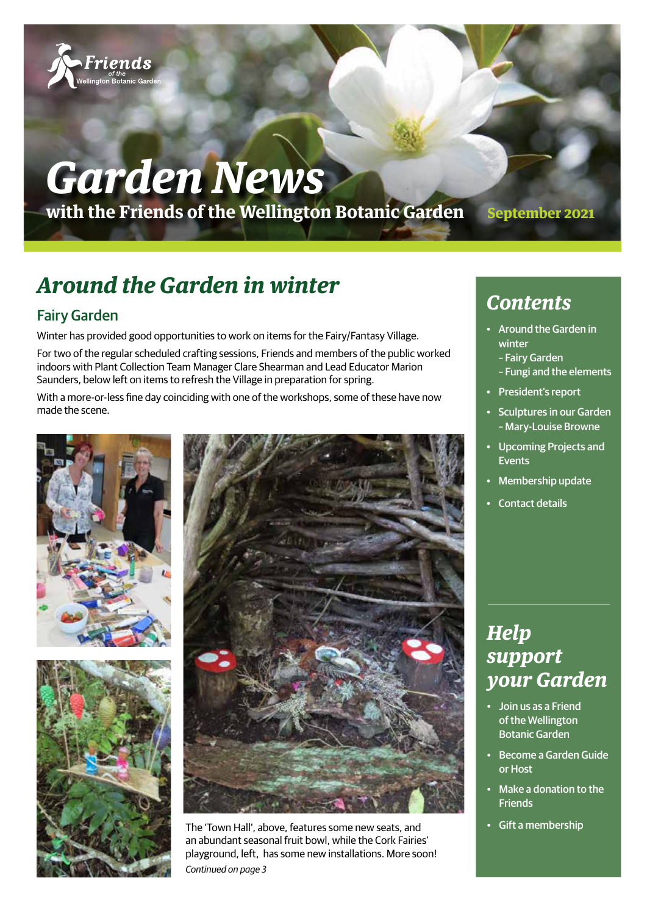

# *Garden News*

**with the Friends of the Wellington Botanic Garden September 2021**

# **Around the Garden in winter**

### Fairy Garden

Winter has provided good opportunities to work on items for the Fairy/Fantasy Village.

For two of the regular scheduled crafting sessions, Friends and members of the public worked indoors with Plant Collection Team Manager Clare Shearman and Lead Educator Marion Saunders, below left on items to refresh the Village in preparation for spring.

With a more-or-less fine day coinciding with one of the workshops, some of these have now made the scene.







The 'Town Hall', above, features some new seats, and an abundant seasonal fruit bowl, while the Cork Fairies' playground, left, has some new installations. More soon! *Continued on page 3*

### *Contents*

- Around the Garden in winter
	- Fairy Garden
	- Fungi and the elements
- President's report
- Sculptures in our Garden – Mary-Louise Browne
- Upcoming Projects and Events
- **Membership update**
- Contact details

### *Help support your Garden*

- Join us as a Friend of the Wellington Botanic Garden
- Become a Garden Guide or Host
- Make a donation to the Friends
- Gift a membership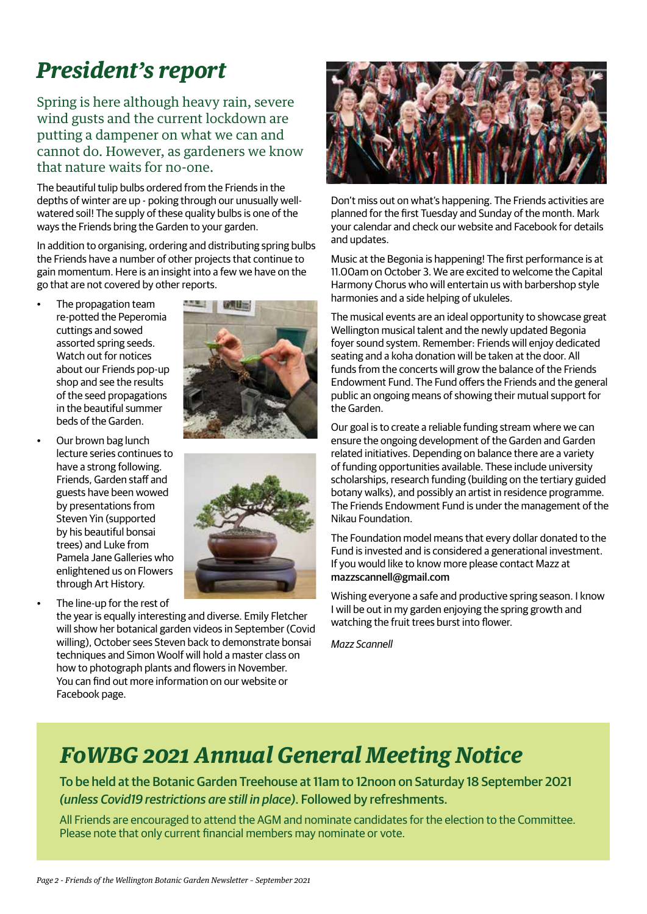# **President's report**

Spring is here although heavy rain, severe wind gusts and the current lockdown are putting a dampener on what we can and cannot do. However, as gardeners we know that nature waits for no-one.

The beautiful tulip bulbs ordered from the Friends in the depths of winter are up - poking through our unusually wellwatered soil! The supply of these quality bulbs is one of the ways the Friends bring the Garden to your garden.

In addition to organising, ordering and distributing spring bulbs the Friends have a number of other projects that continue to gain momentum. Here is an insight into a few we have on the go that are not covered by other reports.

- The propagation team re-potted the Peperomia cuttings and sowed assorted spring seeds. Watch out for notices about our Friends pop-up shop and see the results of the seed propagations in the beautiful summer beds of the Garden.
- Our brown bag lunch lecture series continues to have a strong following. Friends, Garden staff and guests have been wowed by presentations from Steven Yin (supported by his beautiful bonsai trees) and Luke from Pamela Jane Galleries who enlightened us on Flowers through Art History.
- The line-up for the rest of



the year is equally interesting and diverse. Emily Fletcher will show her botanical garden videos in September (Covid willing), October sees Steven back to demonstrate bonsai techniques and Simon Woolf will hold a master class on how to photograph plants and flowers in November. You can find out more information on our website or Facebook page.



Don't miss out on what's happening. The Friends activities are planned for the first Tuesday and Sunday of the month. Mark your calendar and check our website and Facebook for details and updates.

Music at the Begonia is happening! The first performance is at 11.00am on October 3. We are excited to welcome the Capital Harmony Chorus who will entertain us with barbershop style harmonies and a side helping of ukuleles.

The musical events are an ideal opportunity to showcase great Wellington musical talent and the newly updated Begonia foyer sound system. Remember: Friends will enjoy dedicated seating and a koha donation will be taken at the door. All funds from the concerts will grow the balance of the Friends Endowment Fund. The Fund offers the Friends and the general public an ongoing means of showing their mutual support for the Garden.

Our goal is to create a reliable funding stream where we can ensure the ongoing development of the Garden and Garden related initiatives. Depending on balance there are a variety of funding opportunities available. These include university scholarships, research funding (building on the tertiary guided botany walks), and possibly an artist in residence programme. The Friends Endowment Fund is under the management of the Nikau Foundation.

The Foundation model means that every dollar donated to the Fund is invested and is considered a generational investment. If you would like to know more please contact Mazz at mazzscannell@gmail.com

Wishing everyone a safe and productive spring season. I know I will be out in my garden enjoying the spring growth and watching the fruit trees burst into flower.

*Mazz Scannell*

# *FoWBG 2021 Annual General Meeting Notice*

To be held at the Botanic Garden Treehouse at 11am to 12noon on Saturday 18 September 2021 *(unless Covid19 restrictions are still in place)*. Followed by refreshments.

All Friends are encouraged to attend the AGM and nominate candidates for the election to the Committee. Please note that only current financial members may nominate or vote.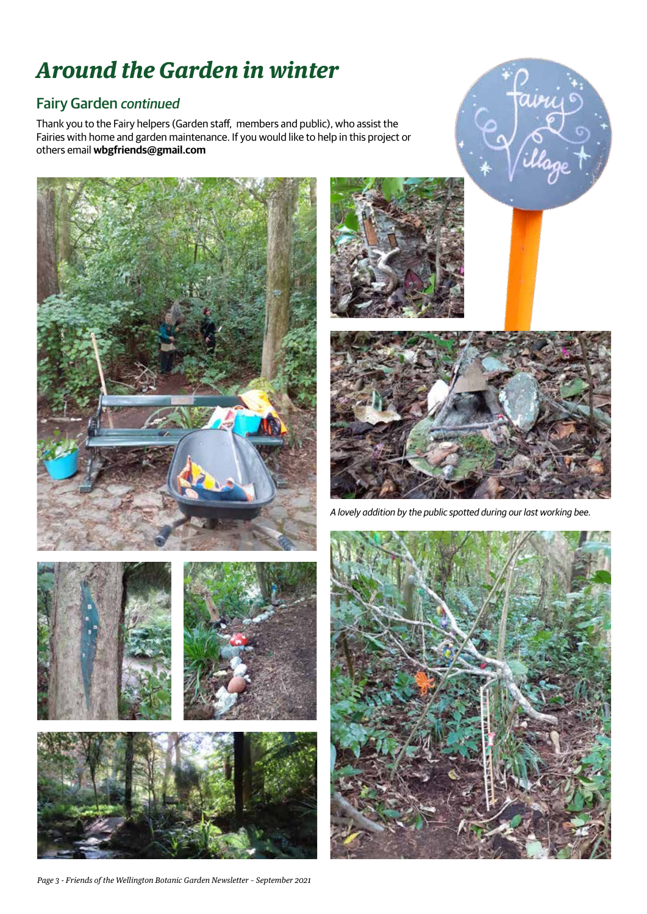# **Around the Garden in winter**

### Fairy Garden *continued*

Thank you to the Fairy helpers (Garden staff, members and public), who assist the Fairies with home and garden maintenance. If you would like to help in this project or others email **wbgfriends@gmail.com**









avu

*A lovely addition by the public spotted during our last working bee.*

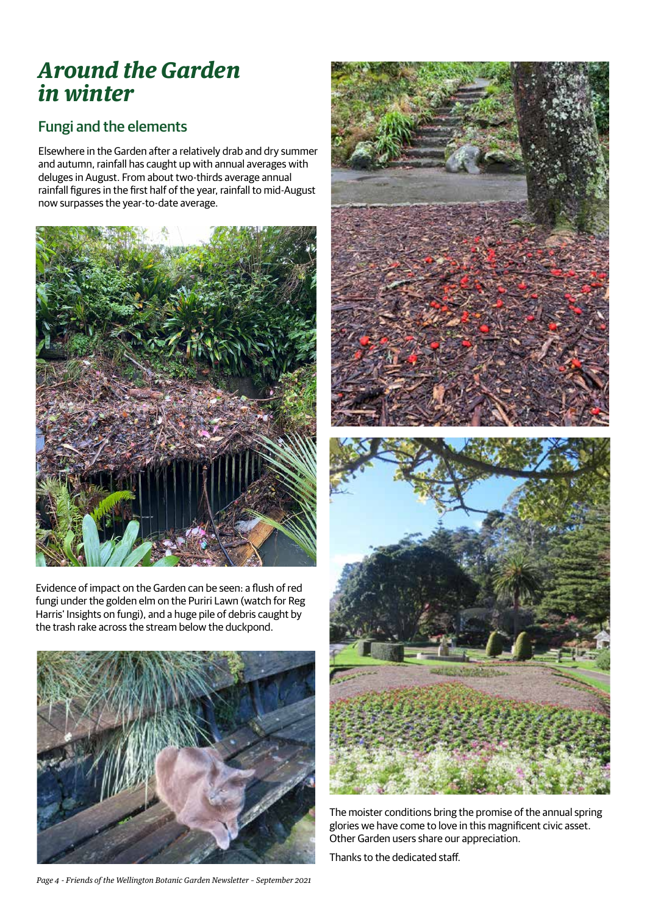### **Around the Garden in winter**

### Fungi and the elements

Elsewhere in the Garden after a relatively drab and dry summer and autumn, rainfall has caught up with annual averages with deluges in August. From about two-thirds average annual rainfall figures in the first half of the year, rainfall to mid-August now surpasses the year-to-date average.



Evidence of impact on the Garden can be seen: a flush of red fungi under the golden elm on the Puriri Lawn (watch for Reg Harris' Insights on fungi), and a huge pile of debris caught by the trash rake across the stream below the duckpond.



*Page 4 - Friends of the Wellington Botanic Garden Newsletter – September 2021*



The moister conditions bring the promise of the annual spring glories we have come to love in this magnificent civic asset. Other Garden users share our appreciation.

Thanks to the dedicated staff.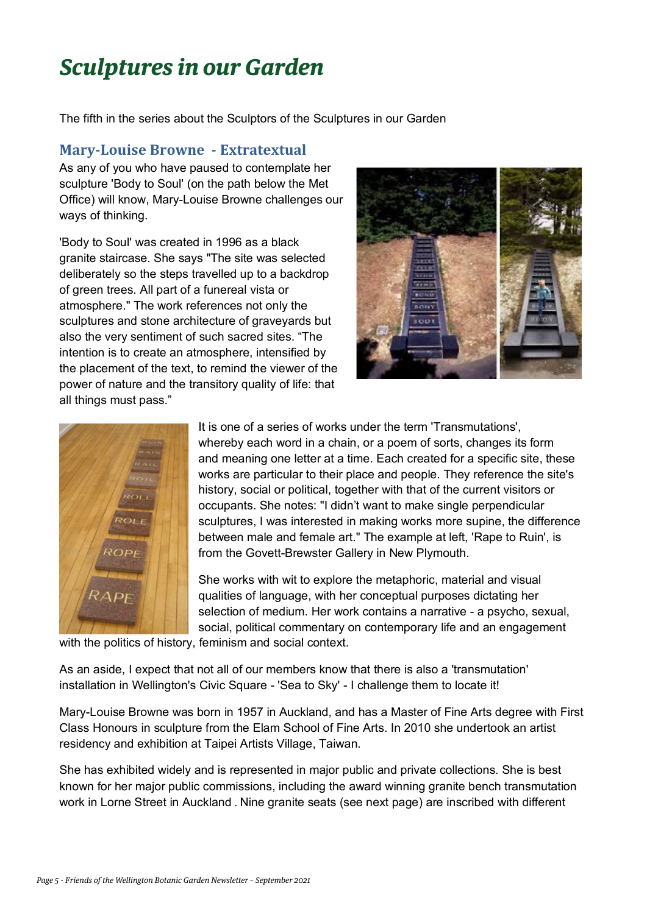# **Sculptures in our Garden**

The fifth in the series about the Sculptors of the Sculptures in our Garden

#### **Mary-Louise Browne - Extratextual**

As any of you who have paused to contemplate her sculpture 'Body to Soul' (on the path below the Met Office) will know, Mary-Louise Browne challenges our ways of thinking.

'Body to Soul' was created in 1996 as a black granite staircase. She says "The site was selected deliberately so the steps travelled up to a backdrop of green trees. All part of a funereal vista or atmosphere." The work references not only the sculptures and stone architecture of graveyards but also the very sentiment of such sacred sites. "The intention is to create an atmosphere, intensified by the placement of the text, to remind the viewer of the power of nature and the transitory quality of life: that all things must pass."





It is one of a series of works under the term 'Transmutations', whereby each word in a chain, or a poem of sorts, changes its form and meaning one letter at a time. Each created for a specific site, these works are particular to their place and people. They reference the site's history, social or political, together with that of the current visitors or occupants. She notes: "I didn't want to make single perpendicular sculptures, I was interested in making works more supine, the difference between male and female art." The example at left, 'Rape to Ruin', is from the Govett-Brewster Gallery in New Plymouth.

She works with wit to explore the metaphoric, material and visual qualities of language, with her conceptual purposes dictating her selection of medium. Her work contains a narrative - a psycho, sexual, social, political commentary on contemporary life and an engagement

with the politics of history, feminism and social context.

As an aside, I expect that not all of our members know that there is also a 'transmutation' installation in Wellington's Civic Square - 'Sea to Sky' - I challenge them to locate it!

Mary-Louise Browne was born in 1957 in Auckland, and has a Master of Fine Arts degree with First Class Honours in sculpture from the Elam School of Fine Arts. In 2010 she undertook an artist residency and exhibition at Taipei Artists Village, Taiwan.

She has exhibited widely and is represented in major public and private collections. She is best known for her major public commissions, including the award winning granite bench transmutation work in Lorne Street in Auckland . Nine granite seats (see next page) are inscribed with different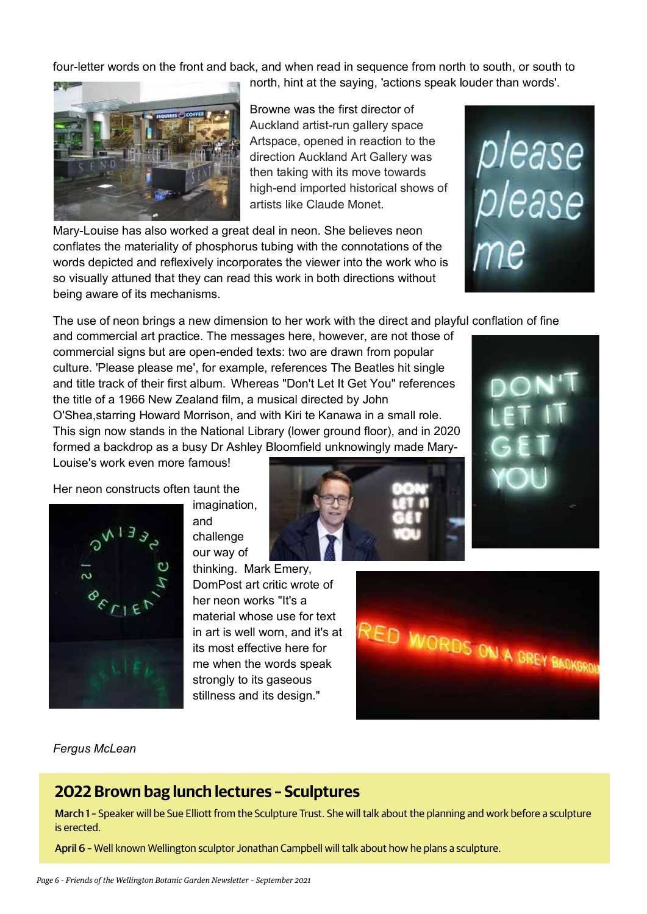four-letter words on the front and back, and when read in sequence from north to south, or south to



Browne was the first director of Auckland artist-run gallery space Artspace, opened in reaction to the direction Auckland Art Gallery was then taking with its move towards high-end imported historical shows of artists like Claude Monet.

north, hint at the saying, 'actions speak louder than words'.

Mary-Louise has also worked a great deal in neon. She believes neon conflates the materiality of phosphorus tubing with the connotations of the words depicted and reflexively incorporates the viewer into the work who is so visually attuned that they can read this work in both directions without being aware of its mechanisms.



The use of neon brings a new dimension to her work with the direct and playful conflation of fine

and commercial art practice. The messages here, however, are not those of commercial signs but are open-ended texts: two are drawn from popular culture. 'Please please me', for example, references The Beatles hit single and title track of their first album. Whereas "Don't Let It Get You" references the title of a 1966 New Zealand film, a musical directed by John O'Shea,starring Howard Morrison, and with Kiri te Kanawa in a small role. This sign now stands in the National Library (lower ground floor), and in 2020 formed a backdrop as a busy Dr Ashley Bloomfield unknowingly made Mary-

Louise's work even more famous!

Her neon constructs often taunt the



imagination, and challenge our way of

thinking. Mark Emery, DomPost art critic wrote of her neon works "It's a material whose use for text in art is well worn, and it's at its most effective here for me when the words speak strongly to its gaseous stillness and its design."





*Fergus McLean*

### **2022 Brown bag lunch lectures – Sculptures**

March 1 – Speaker will be Sue Elliott from the Sculpture Trust. She will talk about the planning and work before a sculpture is erected.

April 6 – Well known Wellington sculptor Jonathan Campbell will talk about how he plans a sculpture.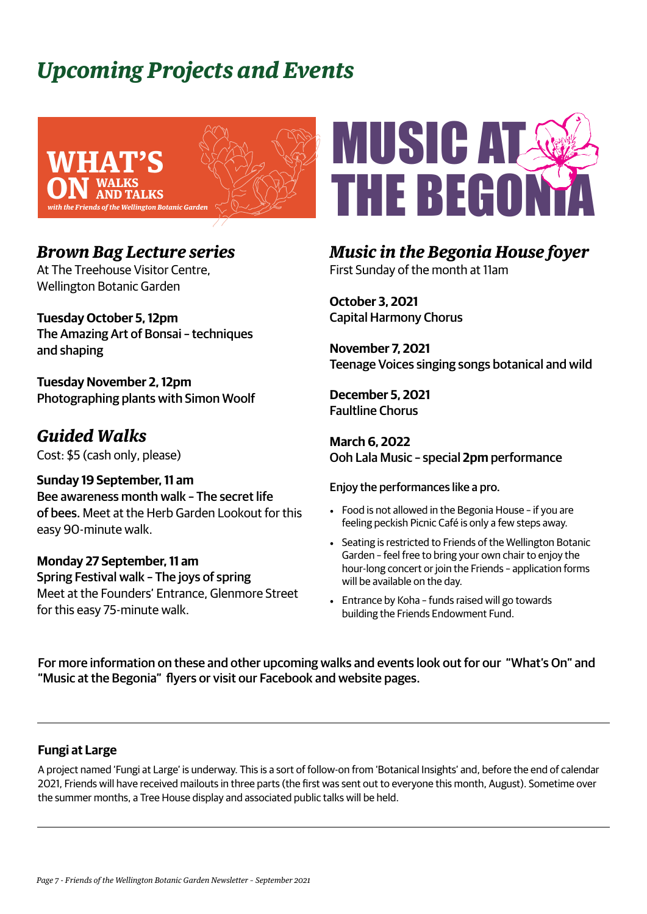# **Upcoming Projects and Events**



### *Brown Bag Lecture series*

At The Treehouse Visitor Centre, Wellington Botanic Garden

**Tuesday October 5, 12pm** The Amazing Art of Bonsai – techniques and shaping

**Tuesday November 2, 12pm** Photographing plants with Simon Woolf

### *Guided Walks*

Cost: \$5 (cash only, please)

**Sunday 19 September, 11 am** Bee awareness month walk – The secret life of bees. Meet at the Herb Garden Lookout for this easy 90-minute walk.

**Monday 27 September, 11 am** Spring Festival walk – The joys of spring Meet at the Founders' Entrance, Glenmore Street for this easy 75-minute walk.



### *Music in the Begonia House foyer* First Sunday of the month at 11am

**October 3, 2021** Capital Harmony Chorus

**November 7, 2021**  Teenage Voices singing songs botanical and wild

**December 5, 2021** Faultline Chorus

**March 6, 2022** Ooh Lala Music – special **2pm** performance

Enjoy the performances like a pro.

- Food is not allowed in the Begonia House if you are feeling peckish Picnic Café is only a few steps away.
- Seating is restricted to Friends of the Wellington Botanic Garden – feel free to bring your own chair to enjoy the hour-long concert or join the Friends – application forms will be available on the day.
- Entrance by Koha funds raised will go towards building the Friends Endowment Fund.

For more information on these and other upcoming walks and events look out for our "What's On" and "Music at the Begonia" flyers or visit our Facebook and website pages.

#### **Fungi at Large**

A project named 'Fungi at Large' is underway. This is a sort of follow-on from 'Botanical Insights' and, before the end of calendar 2021, Friends will have received mailouts in three parts (the first was sent out to everyone this month, August). Sometime over the summer months, a Tree House display and associated public talks will be held.